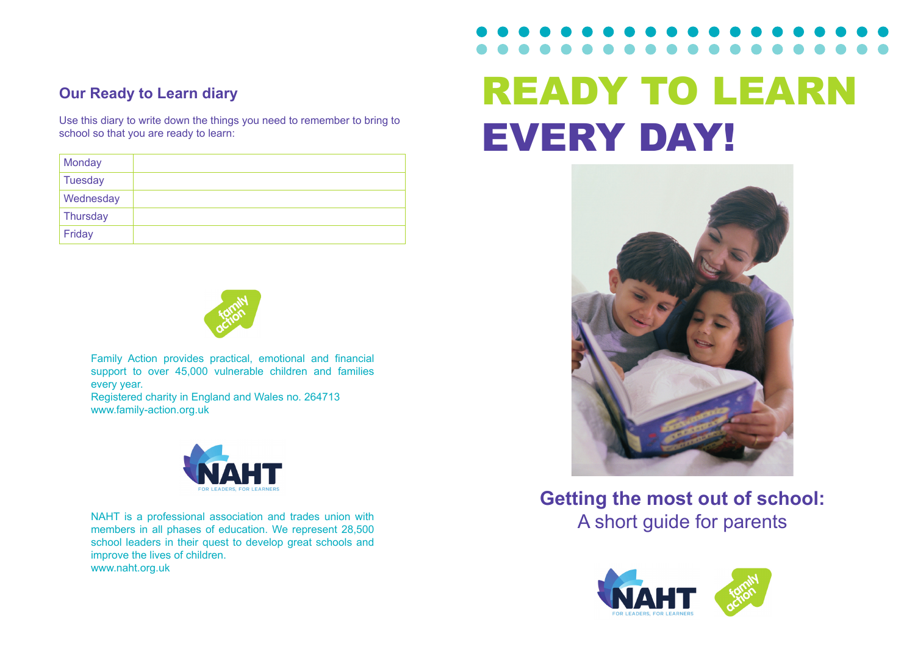## **Our Ready to Learn diary**

Use this diary to write down the things you need to remember to bring to school so that you are ready to learn:

| <b>Monday</b> |  |
|---------------|--|
| Tuesday       |  |
| Wednesday     |  |
| Thursday      |  |
| Friday        |  |



Family Action provides practical, emotional and financial support to over 45,000 vulnerable children and families every year.

Registered charity in England and Wales no. 264713 www.family-action.org.uk



NAHT is a professional association and trades union with<br>
members in all phases of education We represent 28,500 members in all phases of education. We represent 28,500 school leaders in their quest to develop great schools and improve the lives of children. www.naht.org.uk

# READY TO LEARN EVERY DAY!



**Getting the most out of school:**